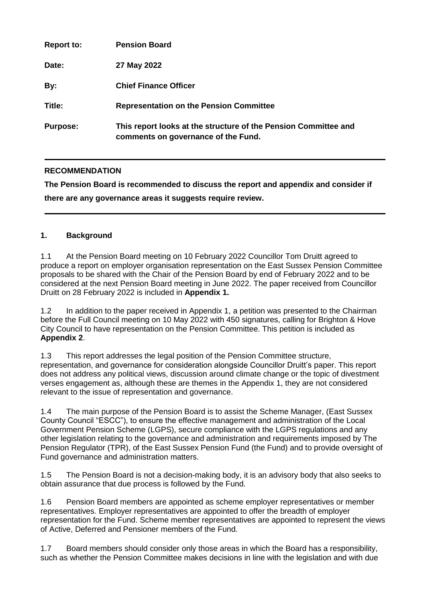| <b>Report to:</b> | <b>Pension Board</b>                                                                                   |
|-------------------|--------------------------------------------------------------------------------------------------------|
| Date:             | 27 May 2022                                                                                            |
| By:               | <b>Chief Finance Officer</b>                                                                           |
| Title:            | <b>Representation on the Pension Committee</b>                                                         |
| <b>Purpose:</b>   | This report looks at the structure of the Pension Committee and<br>comments on governance of the Fund. |

## **RECOMMENDATION**

**The Pension Board is recommended to discuss the report and appendix and consider if there are any governance areas it suggests require review.**

#### **1. Background**

1.1 At the Pension Board meeting on 10 February 2022 Councillor Tom Druitt agreed to produce a report on employer organisation representation on the East Sussex Pension Committee proposals to be shared with the Chair of the Pension Board by end of February 2022 and to be considered at the next Pension Board meeting in June 2022. The paper received from Councillor Druitt on 28 February 2022 is included in **Appendix 1.**

1.2 In addition to the paper received in Appendix 1, a petition was presented to the Chairman before the Full Council meeting on 10 May 2022 with 450 signatures, calling for Brighton & Hove City Council to have representation on the Pension Committee. This petition is included as **Appendix 2**.

1.3 This report addresses the legal position of the Pension Committee structure, representation, and governance for consideration alongside Councillor Druitt's paper. This report does not address any political views, discussion around climate change or the topic of divestment verses engagement as, although these are themes in the Appendix 1, they are not considered relevant to the issue of representation and governance.

1.4 The main purpose of the Pension Board is to assist the Scheme Manager, (East Sussex County Council "ESCC"), to ensure the effective management and administration of the Local Government Pension Scheme (LGPS), secure compliance with the LGPS regulations and any other legislation relating to the governance and administration and requirements imposed by The Pension Regulator (TPR), of the East Sussex Pension Fund (the Fund) and to provide oversight of Fund governance and administration matters.

1.5 The Pension Board is not a decision-making body, it is an advisory body that also seeks to obtain assurance that due process is followed by the Fund.

1.6 Pension Board members are appointed as scheme employer representatives or member representatives. Employer representatives are appointed to offer the breadth of employer representation for the Fund. Scheme member representatives are appointed to represent the views of Active, Deferred and Pensioner members of the Fund.

1.7 Board members should consider only those areas in which the Board has a responsibility, such as whether the Pension Committee makes decisions in line with the legislation and with due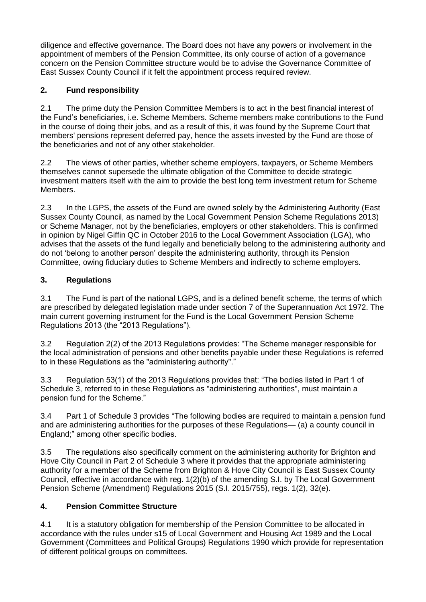diligence and effective governance. The Board does not have any powers or involvement in the appointment of members of the Pension Committee, its only course of action of a governance concern on the Pension Committee structure would be to advise the Governance Committee of East Sussex County Council if it felt the appointment process required review.

# **2. Fund responsibility**

2.1 The prime duty the Pension Committee Members is to act in the best financial interest of the Fund's beneficiaries, i.e. Scheme Members. Scheme members make contributions to the Fund in the course of doing their jobs, and as a result of this, it was found by the Supreme Court that members' pensions represent deferred pay, hence the assets invested by the Fund are those of the beneficiaries and not of any other stakeholder.

2.2 The views of other parties, whether scheme employers, taxpayers, or Scheme Members themselves cannot supersede the ultimate obligation of the Committee to decide strategic investment matters itself with the aim to provide the best long term investment return for Scheme Members.

2.3 In the LGPS, the assets of the Fund are owned solely by the Administering Authority (East Sussex County Council, as named by the Local Government Pension Scheme Regulations 2013) or Scheme Manager, not by the beneficiaries, employers or other stakeholders. This is confirmed in opinion by Nigel Giffin QC in October 2016 to the Local Government Association (LGA), who advises that the assets of the fund legally and beneficially belong to the administering authority and do not 'belong to another person' despite the administering authority, through its Pension Committee, owing fiduciary duties to Scheme Members and indirectly to scheme employers.

### **3. Regulations**

3.1 The Fund is part of the national LGPS, and is a defined benefit scheme, the terms of which are prescribed by delegated legislation made under section 7 of the Superannuation Act 1972. The main current governing instrument for the Fund is the Local Government Pension Scheme Regulations 2013 (the "2013 Regulations").

3.2 Regulation 2(2) of the 2013 Regulations provides: "The Scheme manager responsible for the local administration of pensions and other benefits payable under these Regulations is referred to in these Regulations as the "administering authority"."

3.3 Regulation 53(1) of the 2013 Regulations provides that: "The bodies listed in Part 1 of Schedule 3, referred to in these Regulations as "administering authorities", must maintain a pension fund for the Scheme."

3.4 Part 1 of Schedule 3 provides "The following bodies are required to maintain a pension fund and are administering authorities for the purposes of these Regulations— (a) a county council in England;" among other specific bodies.

3.5 The regulations also specifically comment on the administering authority for Brighton and Hove City Council in Part 2 of Schedule 3 where it provides that the appropriate administering authority for a member of the Scheme from Brighton & Hove City Council is East Sussex County Council, effective in accordance with reg. 1(2)(b) of the amending S.I. by [The Local Government](https://www.legislation.gov.uk/id/uksi/2015/755)  [Pension Scheme \(Amendment\) Regulations 2015 \(S.I. 2015/755\),](https://www.legislation.gov.uk/id/uksi/2015/755) [regs. 1\(2\),](https://www.legislation.gov.uk/id/uksi/2015/755/regulation/1/2) [32\(e\).](https://www.legislation.gov.uk/id/uksi/2015/755/regulation/32/e)

### **4. Pension Committee Structure**

4.1 It is a statutory obligation for membership of the Pension Committee to be allocated in accordance with the rules under s15 of Local Government and Housing Act 1989 and the Local Government (Committees and Political Groups) Regulations 1990 which provide for representation of different political groups on committees.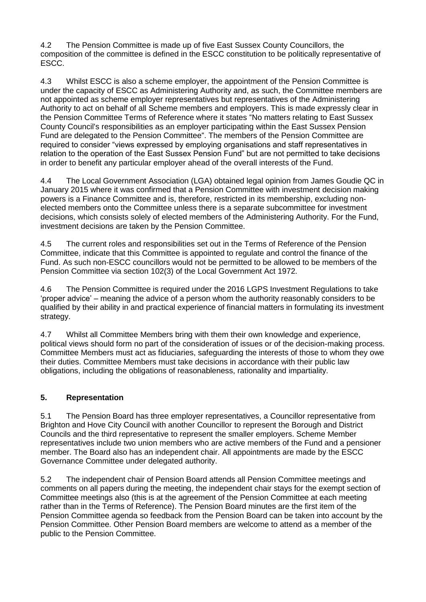4.2 The Pension Committee is made up of five East Sussex County Councillors, the composition of the committee is defined in the ESCC constitution to be politically representative of ESCC.

4.3 Whilst ESCC is also a scheme employer, the appointment of the Pension Committee is under the capacity of ESCC as Administering Authority and, as such, the Committee members are not appointed as scheme employer representatives but representatives of the Administering Authority to act on behalf of all Scheme members and employers. This is made expressly clear in the Pension Committee Terms of Reference where it states "No matters relating to East Sussex County Council's responsibilities as an employer participating within the East Sussex Pension Fund are delegated to the Pension Committee". The members of the Pension Committee are required to consider "views expressed by employing organisations and staff representatives in relation to the operation of the East Sussex Pension Fund" but are not permitted to take decisions in order to benefit any particular employer ahead of the overall interests of the Fund.

4.4 The Local Government Association (LGA) obtained legal opinion from James Goudie QC in January 2015 where it was confirmed that a Pension Committee with investment decision making powers is a Finance Committee and is, therefore, restricted in its membership, excluding nonelected members onto the Committee unless there is a separate subcommittee for investment decisions, which consists solely of elected members of the Administering Authority. For the Fund, investment decisions are taken by the Pension Committee.

4.5 The current roles and responsibilities set out in the Terms of Reference of the Pension Committee, indicate that this Committee is appointed to regulate and control the finance of the Fund. As such non-ESCC councillors would not be permitted to be allowed to be members of the Pension Committee via section 102(3) of the Local Government Act 1972.

4.6 The Pension Committee is required under the 2016 LGPS Investment Regulations to take 'proper advice' – meaning the advice of a person whom the authority reasonably considers to be qualified by their ability in and practical experience of financial matters in formulating its investment strategy.

4.7 Whilst all Committee Members bring with them their own knowledge and experience, political views should form no part of the consideration of issues or of the decision-making process. Committee Members must act as fiduciaries, safeguarding the interests of those to whom they owe their duties. Committee Members must take decisions in accordance with their public law obligations, including the obligations of reasonableness, rationality and impartiality.

### **5. Representation**

5.1 The Pension Board has three employer representatives, a Councillor representative from Brighton and Hove City Council with another Councillor to represent the Borough and District Councils and the third representative to represent the smaller employers. Scheme Member representatives include two union members who are active members of the Fund and a pensioner member. The Board also has an independent chair. All appointments are made by the ESCC Governance Committee under delegated authority.

5.2 The independent chair of Pension Board attends all Pension Committee meetings and comments on all papers during the meeting, the independent chair stays for the exempt section of Committee meetings also (this is at the agreement of the Pension Committee at each meeting rather than in the Terms of Reference). The Pension Board minutes are the first item of the Pension Committee agenda so feedback from the Pension Board can be taken into account by the Pension Committee. Other Pension Board members are welcome to attend as a member of the public to the Pension Committee.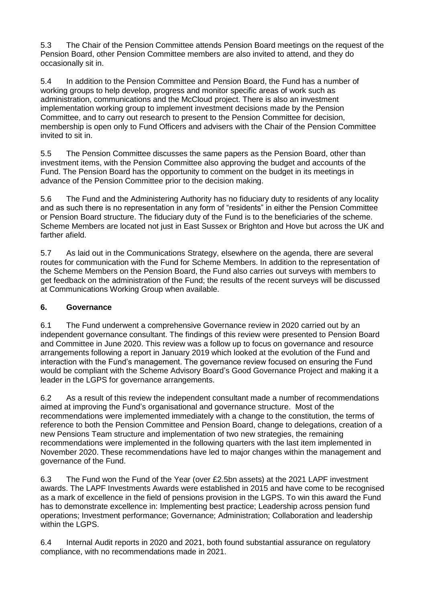5.3 The Chair of the Pension Committee attends Pension Board meetings on the request of the Pension Board, other Pension Committee members are also invited to attend, and they do occasionally sit in.

5.4 In addition to the Pension Committee and Pension Board, the Fund has a number of working groups to help develop, progress and monitor specific areas of work such as administration, communications and the McCloud project. There is also an investment implementation working group to implement investment decisions made by the Pension Committee, and to carry out research to present to the Pension Committee for decision, membership is open only to Fund Officers and advisers with the Chair of the Pension Committee invited to sit in.

5.5 The Pension Committee discusses the same papers as the Pension Board, other than investment items, with the Pension Committee also approving the budget and accounts of the Fund. The Pension Board has the opportunity to comment on the budget in its meetings in advance of the Pension Committee prior to the decision making.

5.6 The Fund and the Administering Authority has no fiduciary duty to residents of any locality and as such there is no representation in any form of "residents" in either the Pension Committee or Pension Board structure. The fiduciary duty of the Fund is to the beneficiaries of the scheme. Scheme Members are located not just in East Sussex or Brighton and Hove but across the UK and farther afield.

5.7 As laid out in the Communications Strategy, elsewhere on the agenda, there are several routes for communication with the Fund for Scheme Members. In addition to the representation of the Scheme Members on the Pension Board, the Fund also carries out surveys with members to get feedback on the administration of the Fund; the results of the recent surveys will be discussed at Communications Working Group when available.

### **6. Governance**

6.1 The Fund underwent a comprehensive Governance review in 2020 carried out by an independent governance consultant. The findings of this review were presented to Pension Board and Committee in June 2020. This review was a follow up to focus on governance and resource arrangements following a report in January 2019 which looked at the evolution of the Fund and interaction with the Fund's management. The governance review focused on ensuring the Fund would be compliant with the Scheme Advisory Board's Good Governance Project and making it a leader in the LGPS for governance arrangements.

6.2 As a result of this review the independent consultant made a number of recommendations aimed at improving the Fund's organisational and governance structure. Most of the recommendations were implemented immediately with a change to the constitution, the terms of reference to both the Pension Committee and Pension Board, change to delegations, creation of a new Pensions Team structure and implementation of two new strategies, the remaining recommendations were implemented in the following quarters with the last item implemented in November 2020. These recommendations have led to major changes within the management and governance of the Fund.

6.3 The Fund won the Fund of the Year (over £2.5bn assets) at the 2021 LAPF investment awards. The LAPF Investments Awards were established in 2015 and have come to be recognised as a mark of excellence in the field of pensions provision in the LGPS. To win this award the Fund has to demonstrate excellence in: Implementing best practice; Leadership across pension fund operations; Investment performance; Governance; Administration; Collaboration and leadership within the LGPS.

6.4 Internal Audit reports in 2020 and 2021, both found substantial assurance on regulatory compliance, with no recommendations made in 2021.